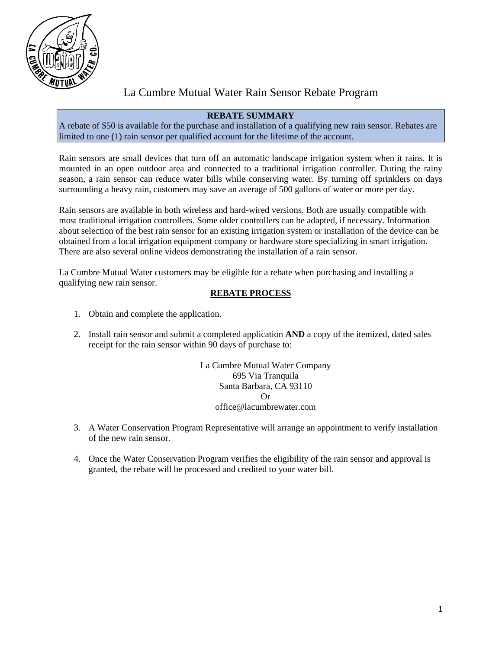

# La Cumbre Mutual Water Rain Sensor Rebate Program

## **REBATE SUMMARY**

A rebate of \$50 is available for the purchase and installation of a qualifying new rain sensor. Rebates are limited to one (1) rain sensor per qualified account for the lifetime of the account.

Rain sensors are small devices that turn off an automatic landscape irrigation system when it rains. It is mounted in an open outdoor area and connected to a traditional irrigation controller. During the rainy season, a rain sensor can reduce water bills while conserving water. By turning off sprinklers on days surrounding a heavy rain, customers may save an average of 500 gallons of water or more per day.

Rain sensors are available in both wireless and hard-wired versions. Both are usually compatible with most traditional irrigation controllers. Some older controllers can be adapted, if necessary. Information about selection of the best rain sensor for an existing irrigation system or installation of the device can be obtained from a local irrigation equipment company or hardware store specializing in smart irrigation. There are also several online videos demonstrating the installation of a rain sensor.

La Cumbre Mutual Water customers may be eligible for a rebate when purchasing and installing a qualifying new rain sensor.

# **REBATE PROCESS**

- 1. Obtain and complete the application.
- 2. Install rain sensor and submit a completed application **AND** a copy of the itemized, dated sales receipt for the rain sensor within 90 days of purchase to:

La Cumbre Mutual Water Company 695 Via Tranquila Santa Barbara, CA 93110  $\Omega$ <sup>r</sup> office@lacumbrewater.com

- 3. A Water Conservation Program Representative will arrange an appointment to verify installation of the new rain sensor.
- 4. Once the Water Conservation Program verifies the eligibility of the rain sensor and approval is granted, the rebate will be processed and credited to your water bill.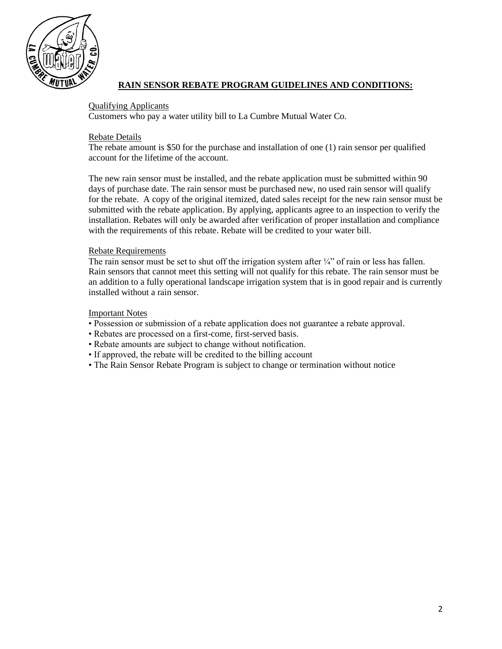

# **RAIN SENSOR REBATE PROGRAM GUIDELINES AND CONDITIONS:**

#### Qualifying Applicants

Customers who pay a water utility bill to La Cumbre Mutual Water Co.

#### Rebate Details

The rebate amount is \$50 for the purchase and installation of one (1) rain sensor per qualified account for the lifetime of the account.

The new rain sensor must be installed, and the rebate application must be submitted within 90 days of purchase date. The rain sensor must be purchased new, no used rain sensor will qualify for the rebate. A copy of the original itemized, dated sales receipt for the new rain sensor must be submitted with the rebate application. By applying, applicants agree to an inspection to verify the installation. Rebates will only be awarded after verification of proper installation and compliance with the requirements of this rebate. Rebate will be credited to your water bill.

#### Rebate Requirements

The rain sensor must be set to shut off the irrigation system after  $\frac{1}{4}$ " of rain or less has fallen. Rain sensors that cannot meet this setting will not qualify for this rebate. The rain sensor must be an addition to a fully operational landscape irrigation system that is in good repair and is currently installed without a rain sensor.

#### Important Notes

- Possession or submission of a rebate application does not guarantee a rebate approval.
- Rebates are processed on a first-come, first-served basis.
- Rebate amounts are subject to change without notification.
- If approved, the rebate will be credited to the billing account
- The Rain Sensor Rebate Program is subject to change or termination without notice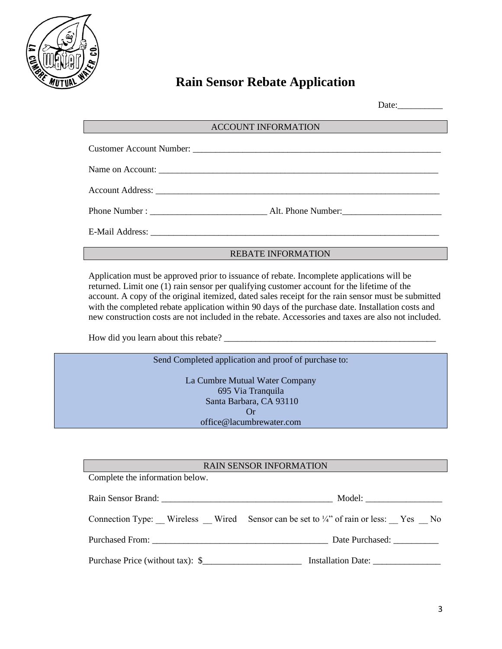

# **Rain Sensor Rebate Application**

#### ACCOUNT INFORMATION

#### REBATE INFORMATION

Application must be approved prior to issuance of rebate. Incomplete applications will be returned. Limit one (1) rain sensor per qualifying customer account for the lifetime of the account. A copy of the original itemized, dated sales receipt for the rain sensor must be submitted with the completed rebate application within 90 days of the purchase date. Installation costs and new construction costs are not included in the rebate. Accessories and taxes are also not included.

How did you learn about this rebate? \_\_\_\_\_\_\_\_\_\_\_\_\_\_\_\_\_\_\_\_\_\_\_\_\_\_\_\_\_\_\_\_\_\_\_\_\_\_\_\_\_\_\_\_\_\_\_

Send Completed application and proof of purchase to:

La Cumbre Mutual Water Company 695 Via Tranquila Santa Barbara, CA 93110 Or office@lacumbrewater.com

#### RAIN SENSOR INFORMATION

Complete the information below.

| Rain Sensor Brand: 2008. [1] Density Rain Sensor Brand: | Model:                                                                                     |
|---------------------------------------------------------|--------------------------------------------------------------------------------------------|
|                                                         | Connection Type: Wireless Wired Sensor can be set to $\frac{1}{4}$ of rain or less: Yes No |
|                                                         | Date Purchased: _____________                                                              |
| Purchase Price (without tax): \$                        | Installation Date:                                                                         |